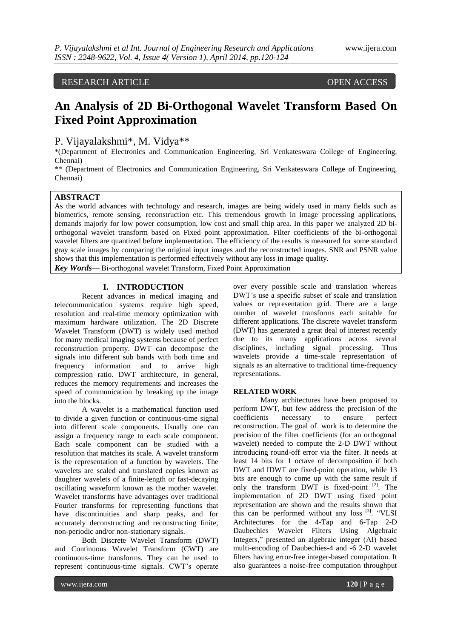# RESEARCH ARTICLE OPEN ACCESS

# **An Analysis of 2D Bi-Orthogonal Wavelet Transform Based On Fixed Point Approximation**

P. Vijayalakshmi\*, M. Vidya\*\*

\*(Department of Electronics and Communication Engineering, Sri Venkateswara College of Engineering, Chennai)

\*\* (Department of Electronics and Communication Engineering, Sri Venkateswara College of Engineering, Chennai)

## **ABSTRACT**

As the world advances with technology and research, images are being widely used in many fields such as biometrics, remote sensing, reconstruction etc. This tremendous growth in image processing applications, demands majorly for low power consumption, low cost and small chip area. In this paper we analyzed 2D biorthogonal wavelet transform based on Fixed point approximation. Filter coefficients of the bi-orthogonal wavelet filters are quantized before implementation. The efficiency of the results is measured for some standard gray scale images by comparing the original input images and the reconstructed images. SNR and PSNR value shows that this implementation is performed effectively without any loss in image quality.

*Key Words***—** Bi-orthogonal wavelet Transform, Fixed Point Approximation

## **I. INTRODUCTION**

Recent advances in medical imaging and telecommunication systems require high speed, resolution and real-time memory optimization with maximum hardware utilization. The 2D Discrete Wavelet Transform (DWT) is widely used method for many medical imaging systems because of perfect reconstruction property. DWT can decompose the signals into different sub bands with both time and frequency information and to arrive high compression ratio. DWT architecture, in general, reduces the memory requirements and increases the speed of communication by breaking up the image into the blocks.

A wavelet is a mathematical function used to divide a given function or continuous-time signal into different scale components. Usually one can assign a frequency range to each scale component. Each scale component can be studied with a resolution that matches its scale. A wavelet transform is the representation of a function by wavelets. The wavelets are scaled and translated copies known as daughter wavelets of a finite-length or fast-decaying oscillating waveform known as the mother wavelet. Wavelet transforms have advantages over traditional Fourier transforms for representing functions that have discontinuities and sharp peaks, and for accurately deconstructing and reconstructing finite, non-periodic and/or non-stationary signals.

Both Discrete Wavelet Transform (DWT) and Continuous Wavelet Transform (CWT) are continuous-time transforms. They can be used to represent continuous-time signals. CWT"s operate

over every possible scale and translation whereas DWT"s use a specific subset of scale and translation values or representation grid. There are a large number of wavelet transforms each suitable for different applications. The discrete wavelet transform (DWT) has generated a great deal of interest recently due to its many applications across several disciplines, including signal processing. Thus wavelets provide a time-scale representation of signals as an alternative to traditional time-frequency representations.

#### **RELATED WORK**

Many architectures have been proposed to perform DWT, but few address the precision of the coefficients necessary to ensure perfect reconstruction. The goal of work is to determine the precision of the filter coefficients (for an orthogonal wavelet) needed to compute the 2-D DWT without introducing round-off error via the filter. It needs at least 14 bits for 1 octave of decomposition if both DWT and IDWT are fixed-point operation, while 13 bits are enough to come up with the same result if only the transform  $DWT$  is fixed-point  $[2]$ . The implementation of 2D DWT using fixed point representation are shown and the results shown that this can be performed without any loss <sup>[3]</sup>. "VLSI Architectures for the 4-Tap and 6-Tap 2-D Daubechies Wavelet Filters Using Algebraic Integers," presented an algebraic integer (AI) based multi-encoding of Daubechies-4 and -6 2-D wavelet filters having error-free integer-based computation. It also guarantees a noise-free computation throughput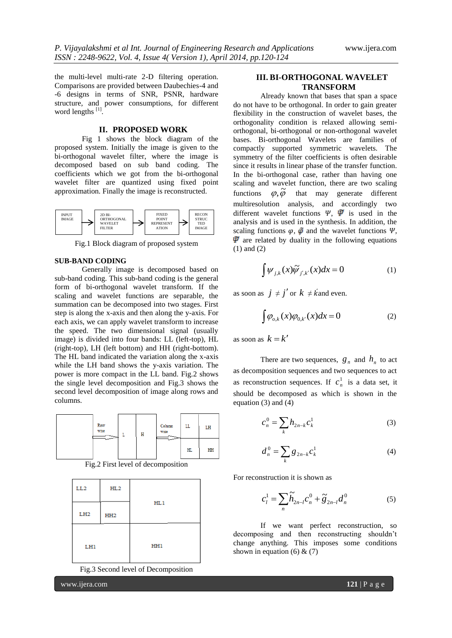the multi-level multi-rate 2-D filtering operation. Comparisons are provided between Daubechies-4 and -6 designs in terms of SNR, PSNR, hardware structure, and power consumptions, for different word lengths [1].

#### **II. PROPOSED WORK**

Fig 1 shows the block diagram of the proposed system. Initially the image is given to the bi-orthogonal wavelet filter, where the image is decomposed based on sub band coding. The coefficients which we got from the bi-orthogonal wavelet filter are quantized using fixed point approximation. Finally the image is reconstructed.



Fig.1 Block diagram of proposed system

#### **SUB-BAND CODING**

Generally image is decomposed based on sub-band coding. This sub-band coding is the general form of bi-orthogonal wavelet transform. If the scaling and wavelet functions are separable, the summation can be decomposed into two stages. First step is along the x-axis and then along the y-axis. For each axis, we can apply wavelet transform to increase the speed. The two dimensional signal (usually image) is divided into four bands: LL (left-top), HL (right-top), LH (left bottom) and HH (right-bottom). The HL band indicated the variation along the x-axis while the LH band shows the y-axis variation. The power is more compact in the LL band. Fig.2 shows the single level decomposition and Fig.3 shows the second level decomposition of image along rows and columns.

| Row<br>wise<br>$-$ | Н | Column<br>wise | LL             | LH |
|--------------------|---|----------------|----------------|----|
|                    |   |                | H <sub>L</sub> | HH |

Fig.2 First level of decomposition

| LL <sub>2</sub> | HL2             |     |  |
|-----------------|-----------------|-----|--|
| L <sub>H2</sub> | HH <sub>2</sub> | HL1 |  |
| LH1             |                 | HH1 |  |

Fig.3 Second level of Decomposition

www.ijera.com **121** | P a g e

#### **III. BI-ORTHOGONAL WAVELET TRANSFORM**

Already known that bases that span a space do not have to be orthogonal. In order to gain greater flexibility in the construction of wavelet bases, the orthogonality condition is relaxed allowing semiorthogonal, bi-orthogonal or non-orthogonal wavelet bases. Bi-orthogonal Wavelets are families of compactly supported symmetric wavelets. The symmetry of the filter coefficients is often desirable since it results in linear phase of the transfer function. In the bi-orthogonal case, rather than having one scaling and wavelet function, there are two scaling functions  $\ddot{\varphi}, \tilde{\varphi}$ that may generate different multiresolution analysis, and accordingly two different wavelet functions  $\Psi$ ,  $\Psi$  is used in the analysis and is used in the synthesis. In addition, the scaling functions  $\varphi$ ,  $\ddot{\varphi}$  and the wavelet functions  $\Psi$ ,  $\overline{\Psi}$  are related by duality in the following equations (1) and (2)

$$
\int \psi_{j,k}(x)\widetilde{\psi}_{j',k'}(x)dx = 0 \tag{1}
$$

as soon as  $j \neq j'$  or  $k \neq k$  and even.

$$
\int \varphi_{o,k}(x)\varphi_{0,k'}(x)dx = 0
$$
\n(2)

as soon as  $k = k'$ 

There are two sequences,  $g_n$  and  $h_n$  to act as decomposition sequences and two sequences to act as reconstruction sequences. If  $c_n^1$  $c_n^1$  is a data set, it should be decomposed as which is shown in the equation (3) and  $\overline{(4)}$ 

$$
c_n^0 = \sum_k h_{2n-k} c_k^1
$$
 (3)

$$
d_n^0 = \sum_k g_{2n-k} c_k^1 \tag{4}
$$

For reconstruction it is shown as

$$
c_l^1 = \sum_n \widetilde{h}_{2n-l} c_n^0 + \widetilde{g}_{2n-l} d_n^0
$$
 (5)

If we want perfect reconstruction, so decomposing and then reconstructing shouldn"t change anything. This imposes some conditions shown in equation (6)  $& (7)$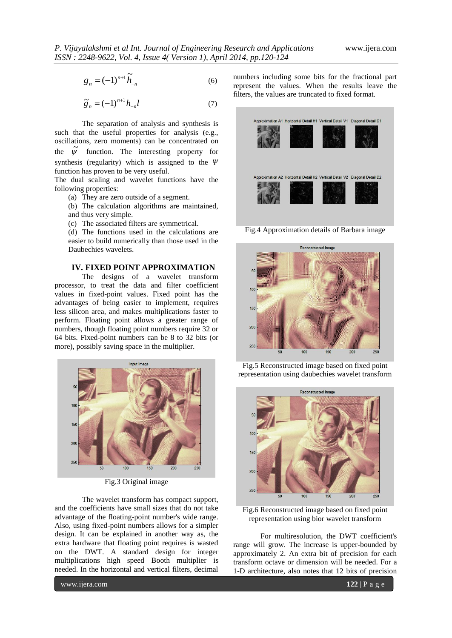$$
g_n = (-1)^{n+1} \tilde{h}_{-n}
$$
 (6)

$$
\widetilde{g}_n = (-1)^{n+1} h_{-n} l \tag{7}
$$

The separation of analysis and synthesis is such that the useful properties for analysis (e.g., oscillations, zero moments) can be concentrated on the  $\tilde{\psi}$  function. The interesting property for synthesis (regularity) which is assigned to the  $\Psi$ function has proven to be very useful.

The dual scaling and wavelet functions have the following properties:

(a) They are zero outside of a segment.

(b) The calculation algorithms are maintained, and thus very simple.

(c) The associated filters are symmetrical.

(d) The functions used in the calculations are easier to build numerically than those used in the Daubechies wavelets.

## **IV. FIXED POINT APPROXIMATION**

The designs of a wavelet transform processor, to treat the data and filter coefficient values in fixed-point values. Fixed point has the advantages of being easier to implement, requires less silicon area, and makes multiplications faster to perform. Floating point allows a greater range of numbers, though floating point numbers require 32 or 64 bits. Fixed-point numbers can be 8 to 32 bits (or more), possibly saving space in the multiplier.



Fig.3 Original image

The wavelet transform has compact support, and the coefficients have small sizes that do not take advantage of the floating-point number's wide range. Also, using fixed-point numbers allows for a simpler design. It can be explained in another way as, the extra hardware that floating point requires is wasted on the DWT. A standard design for integer multiplications high speed Booth multiplier is needed. In the horizontal and vertical filters, decimal

numbers including some bits for the fractional part represent the values. When the results leave the filters, the values are truncated to fixed format.



Fig.4 Approximation details of Barbara image



Fig.5 Reconstructed image based on fixed point representation using daubechies wavelet transform



Fig.6 Reconstructed image based on fixed point representation using bior wavelet transform

For multiresolution, the DWT coefficient's range will grow. The increase is upper-bounded by approximately 2. An extra bit of precision for each transform octave or dimension will be needed. For a 1-D architecture, also notes that 12 bits of precision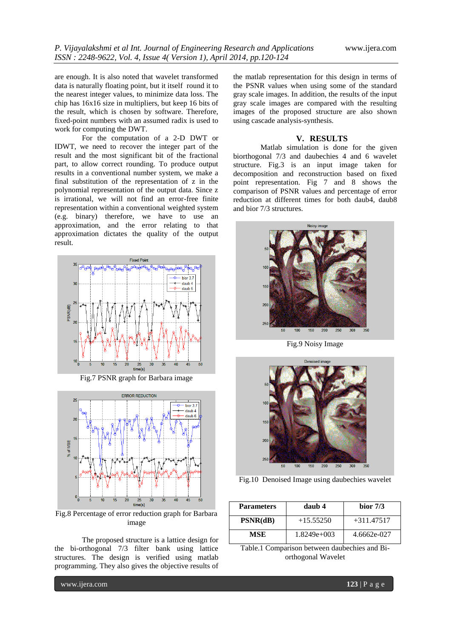are enough. It is also noted that wavelet transformed data is naturally floating point, but it itself round it to the nearest integer values, to minimize data loss. The chip has 16x16 size in multipliers, but keep 16 bits of the result, which is chosen by software. Therefore, fixed-point numbers with an assumed radix is used to work for computing the DWT.

For the computation of a 2-D DWT or IDWT, we need to recover the integer part of the result and the most significant bit of the fractional part, to allow correct rounding. To produce output results in a conventional number system, we make a final substitution of the representation of z in the polynomial representation of the output data. Since z is irrational, we will not find an error-free finite representation within a conventional weighted system (e.g. binary) therefore, we have to use an approximation, and the error relating to that approximation dictates the quality of the output result.



Fig.7 PSNR graph for Barbara image



Fig.8 Percentage of error reduction graph for Barbara image

The proposed structure is a lattice design for the bi-orthogonal 7/3 filter bank using lattice structures. The design is verified using matlab programming. They also gives the objective results of the matlab representation for this design in terms of the PSNR values when using some of the standard gray scale images. In addition, the results of the input gray scale images are compared with the resulting images of the proposed structure are also shown using cascade analysis-synthesis.

## **V. RESULTS**

Matlab simulation is done for the given biorthogonal 7/3 and daubechies 4 and 6 wavelet structure. Fig.3 is an input image taken for decomposition and reconstruction based on fixed point representation. Fig 7 and 8 shows the comparison of PSNR values and percentage of error reduction at different times for both daub4, daub8 and bior 7/3 structures.



Fig.9 Noisy Image



Fig.10 Denoised Image using daubechies wavelet

| <b>Parameters</b> | daub 4        | bior $7/3$   |  |
|-------------------|---------------|--------------|--|
| PSNR(dB)          | $+15.55250$   | $+311.47517$ |  |
| MSE               | $1.8249e+003$ | 4.6662e-027  |  |

Table.1 Comparison between daubechies and Biorthogonal Wavelet